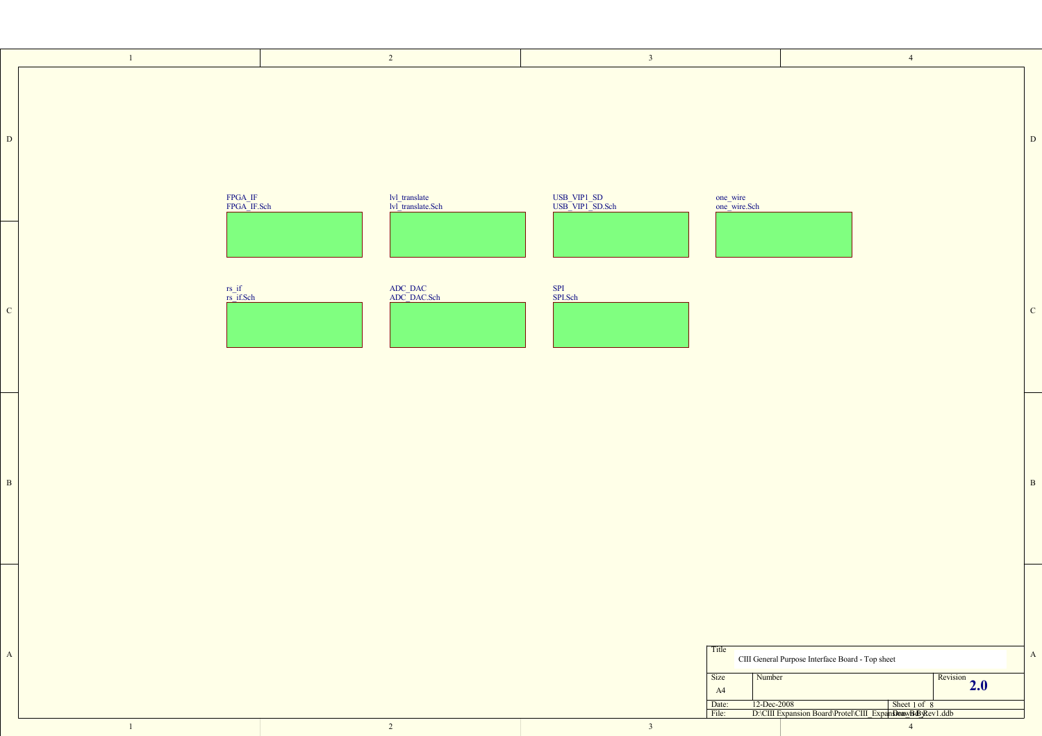

1

D

C

B

A



B

C

D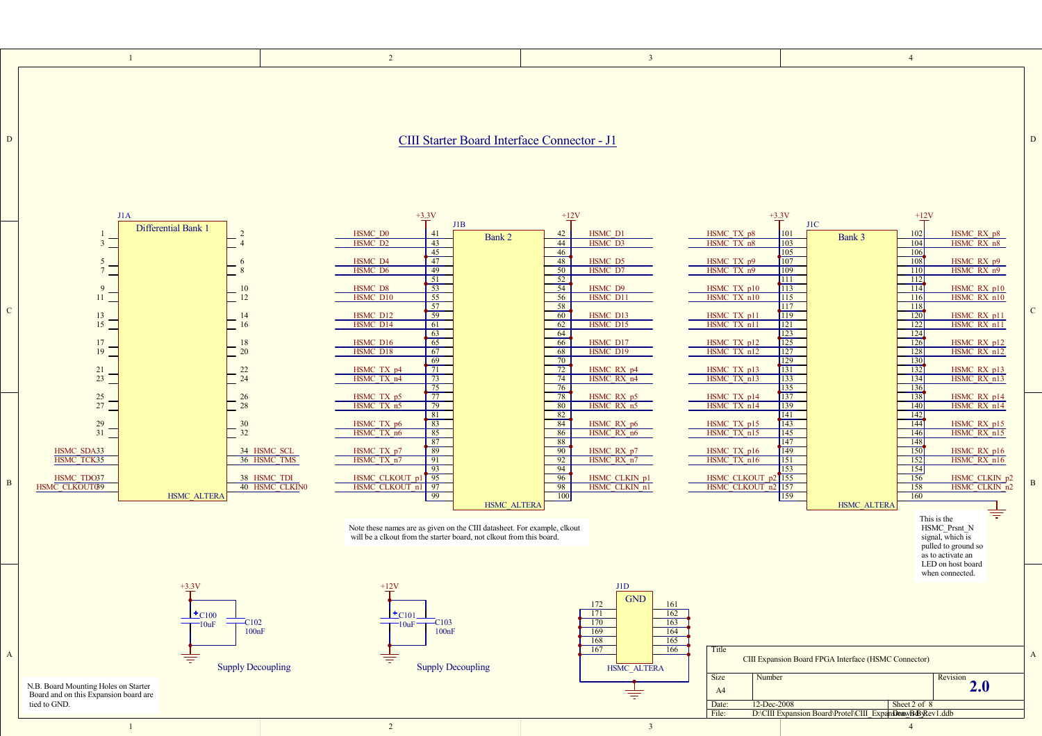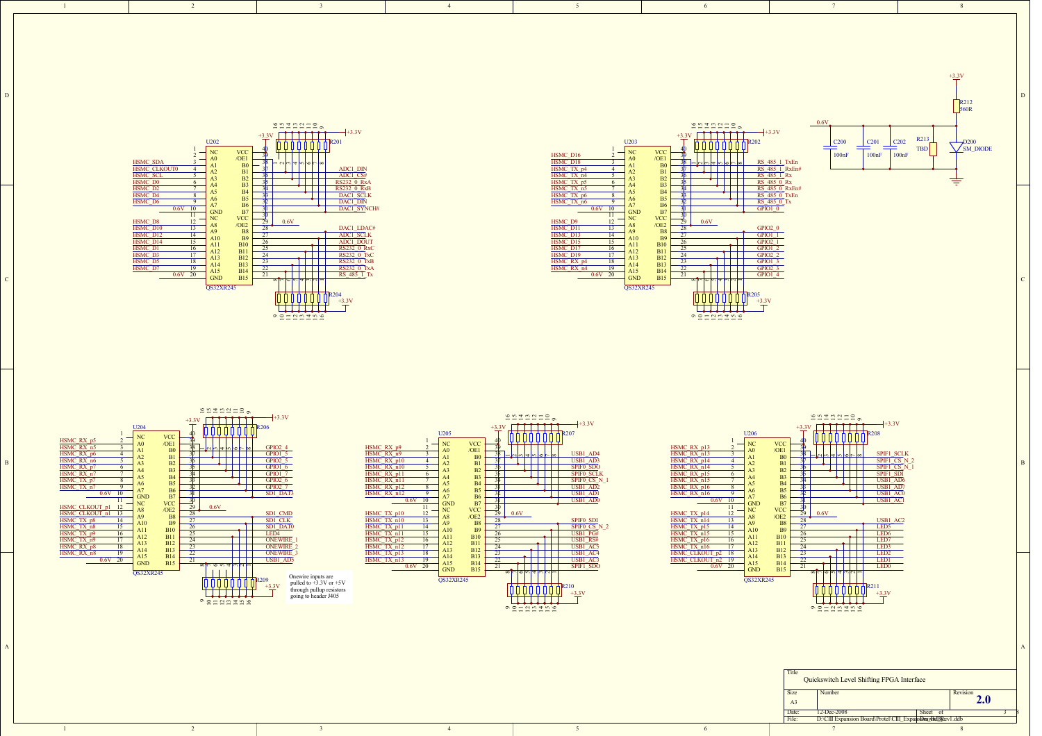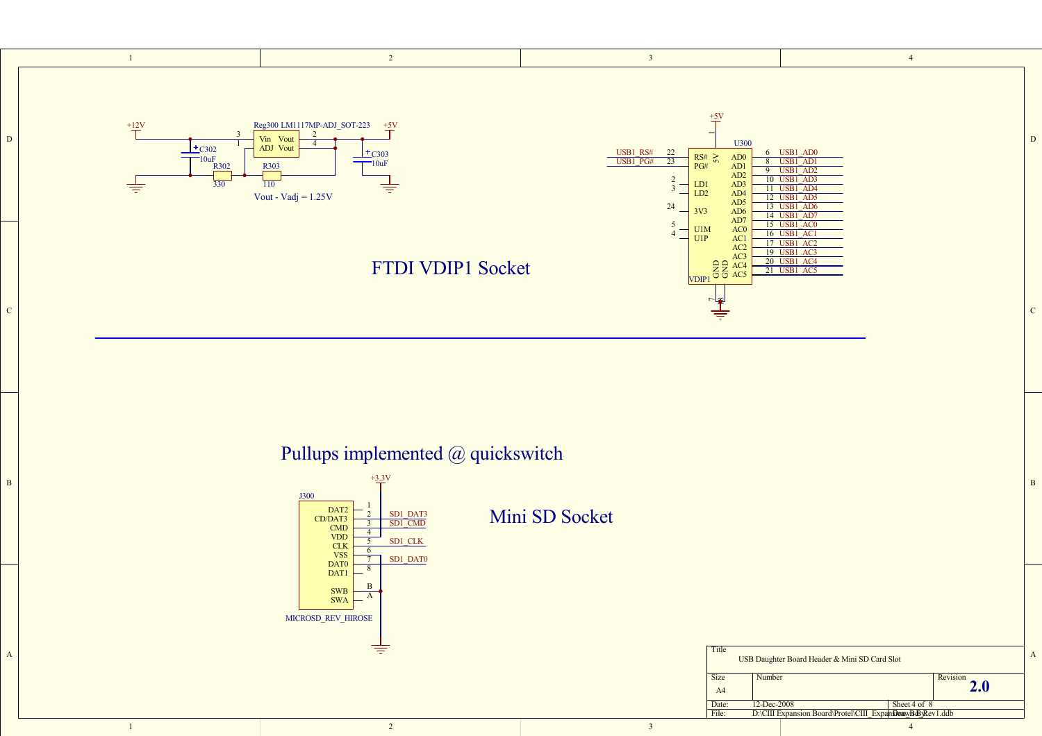

Pullups implemented @ quickswitch

B

A

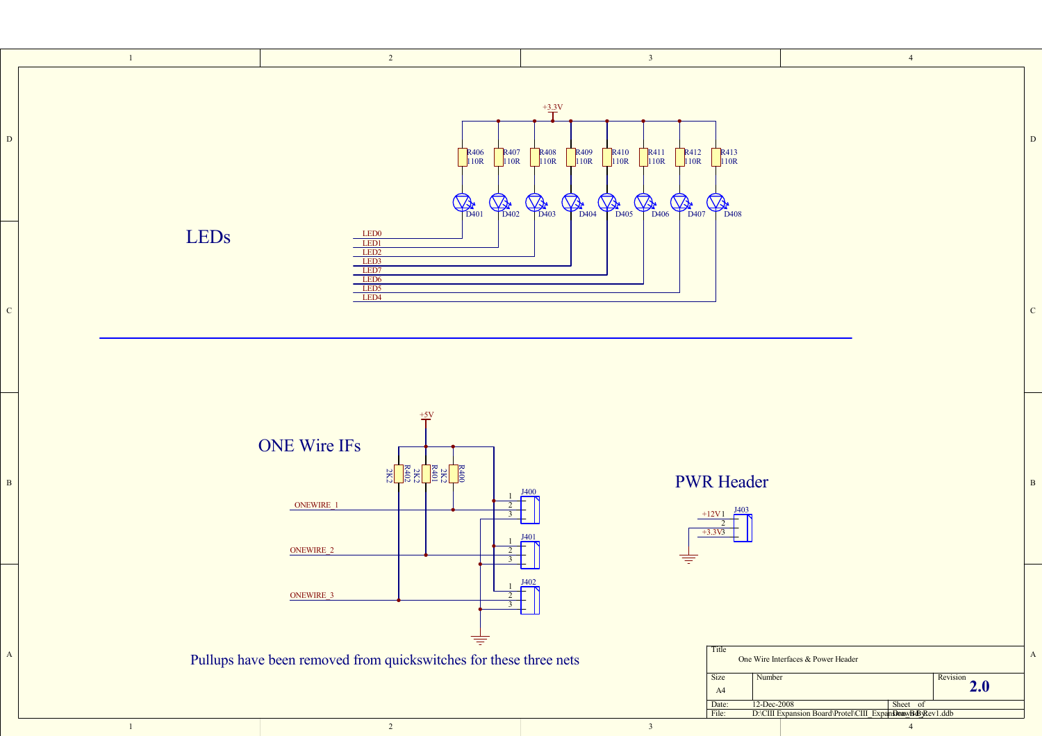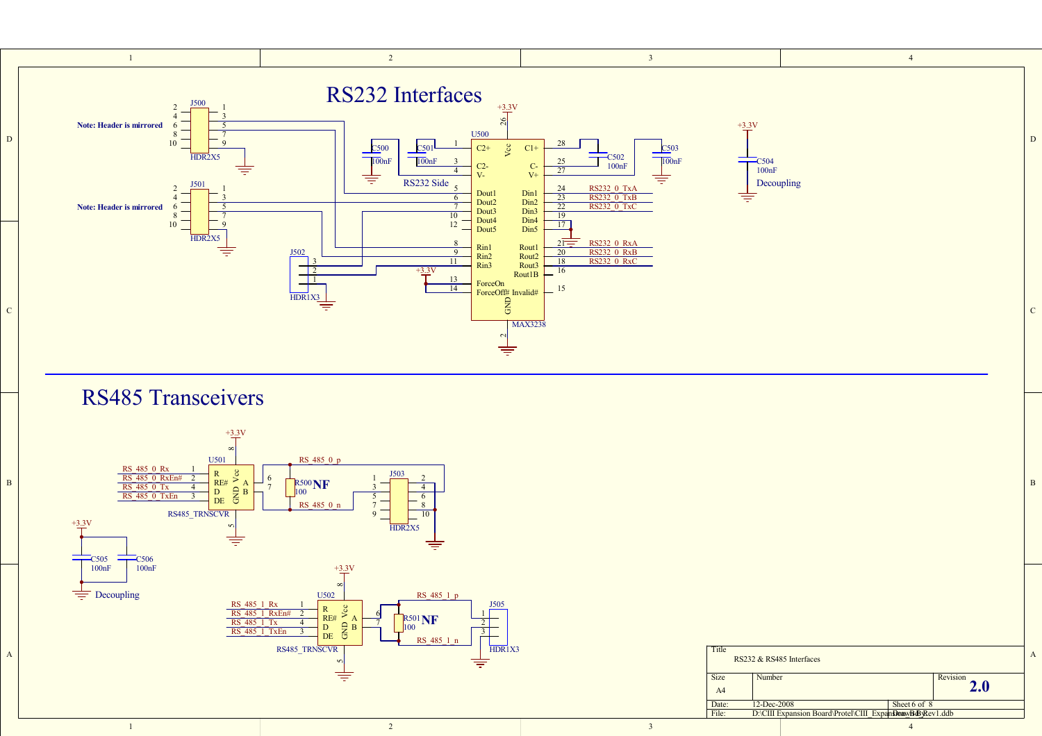

1

| oard\Protel\CIII ExpansionawBo |  |  |
|--------------------------------|--|--|
|                                |  |  |

 $\frac{1}{2}$  and  $\frac{2}{3}$  and  $\frac{3}{4}$  and  $\frac{4}{3}$  and  $\frac{4}{3}$  and  $\frac{4}{3}$  and  $\frac{4}{3}$  and  $\frac{4}{3}$  and  $\frac{4}{3}$  and  $\frac{4}{3}$  and  $\frac{4}{3}$  and  $\frac{4}{3}$  and  $\frac{4}{3}$  and  $\frac{4}{3}$  and  $\frac{4}{3}$  and  $\frac{4}{3}$  a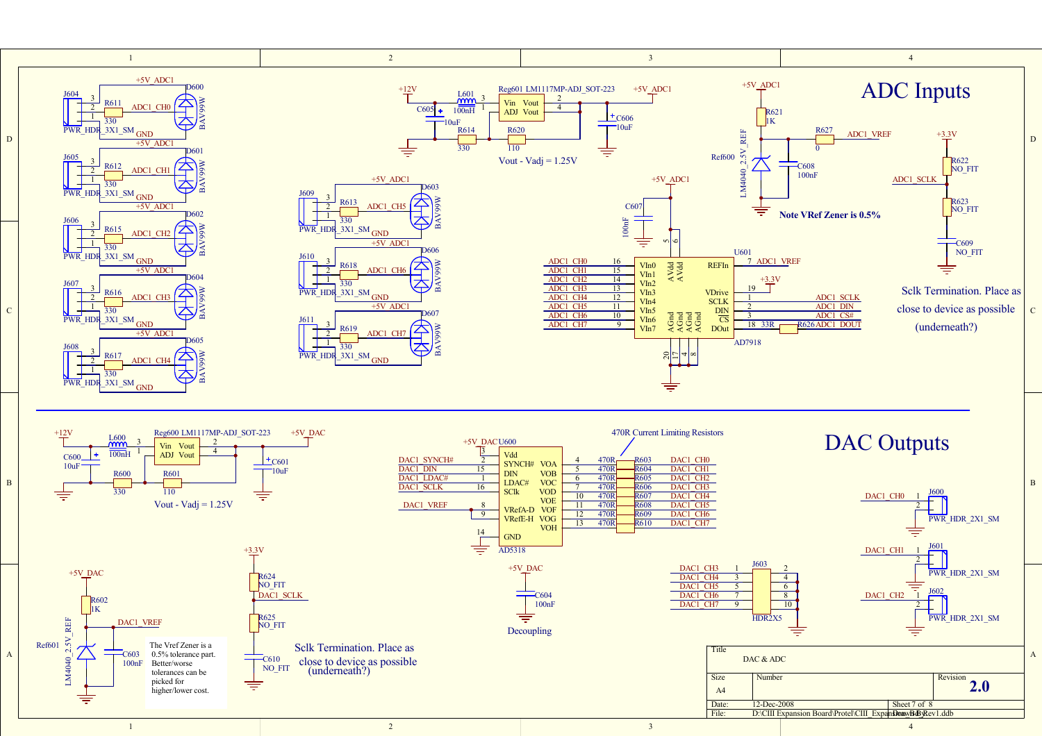